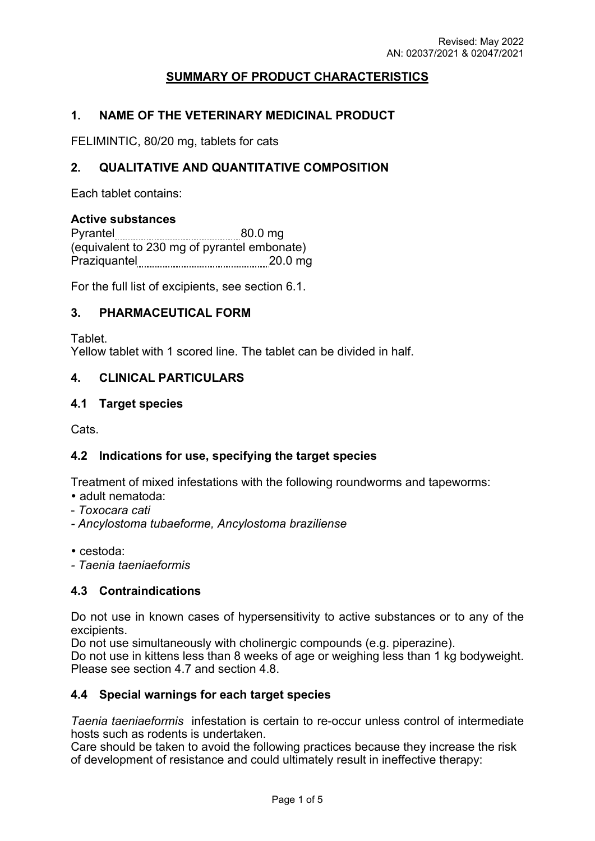# **SUMMARY OF PRODUCT CHARACTERISTICS**

## **1. NAME OF THE VETERINARY MEDICINAL PRODUCT**

FELIMINTIC, 80/20 mg, tablets for cats

# **2. QUALITATIVE AND QUANTITATIVE COMPOSITION**

Each tablet contains:

### **Active substances**

| Pyrantel     | 80.0 mg                                     |
|--------------|---------------------------------------------|
|              | (equivalent to 230 mg of pyrantel embonate) |
| Praziquantel | $20.0$ mg                                   |

For the full list of excipients, see section 6.1.

### **3. PHARMACEUTICAL FORM**

**Tablet** 

Yellow tablet with 1 scored line. The tablet can be divided in half.

## **4. CLINICAL PARTICULARS**

### **4.1 Target species**

Cats.

# **4.2 Indications for use, specifying the target species**

Treatment of mixed infestations with the following roundworms and tapeworms:

- adult nematoda:
- *Toxocara cati*
- *Ancylostoma tubaeforme, Ancylostoma braziliense*

cestoda:

*- Taenia taeniaeformis*

### **4.3 Contraindications**

Do not use in known cases of hypersensitivity to active substances or to any of the excipients.

Do not use simultaneously with cholinergic compounds (e.g. piperazine).

Do not use in kittens less than 8 weeks of age or weighing less than 1 kg bodyweight. Please see section 4.7 and section 4.8.

### **4.4 Special warnings for each target species**

*Taenia taeniaeformis* infestation is certain to re-occur unless control of intermediate hosts such as rodents is undertaken.

Care should be taken to avoid the following practices because they increase the risk of development of resistance and could ultimately result in ineffective therapy: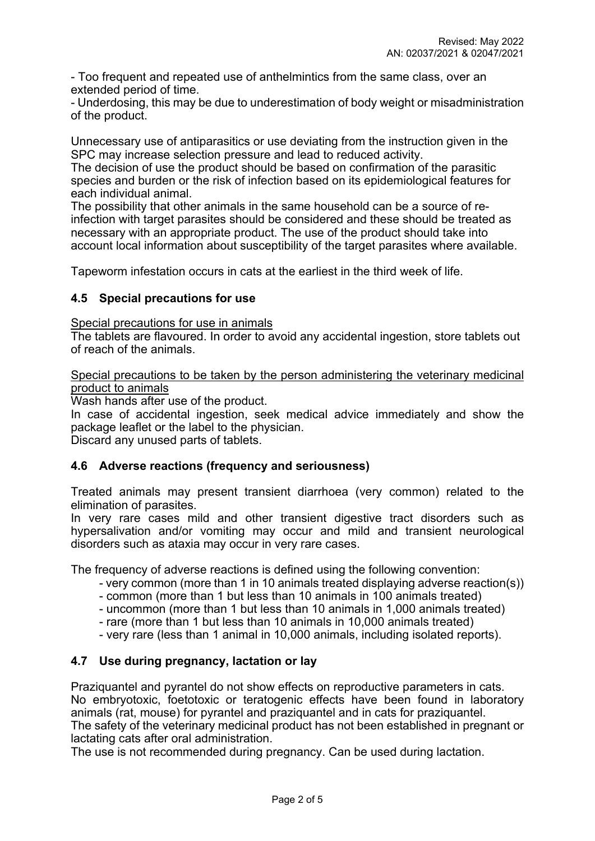- Too frequent and repeated use of anthelmintics from the same class, over an extended period of time.

- Underdosing, this may be due to underestimation of body weight or misadministration of the product.

Unnecessary use of antiparasitics or use deviating from the instruction given in the SPC may increase selection pressure and lead to reduced activity.

The decision of use the product should be based on confirmation of the parasitic species and burden or the risk of infection based on its epidemiological features for each individual animal.

The possibility that other animals in the same household can be a source of reinfection with target parasites should be considered and these should be treated as necessary with an appropriate product. The use of the product should take into account local information about susceptibility of the target parasites where available.

Tapeworm infestation occurs in cats at the earliest in the third week of life.

## **4.5 Special precautions for use**

Special precautions for use in animals

The tablets are flavoured. In order to avoid any accidental ingestion, store tablets out of reach of the animals.

Special precautions to be taken by the person administering the veterinary medicinal product to animals

Wash hands after use of the product.

In case of accidental ingestion, seek medical advice immediately and show the package leaflet or the label to the physician.

Discard any unused parts of tablets.

### **4.6 Adverse reactions (frequency and seriousness)**

Treated animals may present transient diarrhoea (very common) related to the elimination of parasites.

In very rare cases mild and other transient digestive tract disorders such as hypersalivation and/or vomiting may occur and mild and transient neurological disorders such as ataxia may occur in very rare cases.

The frequency of adverse reactions is defined using the following convention:

- very common (more than 1 in 10 animals treated displaying adverse reaction(s))
- common (more than 1 but less than 10 animals in 100 animals treated)
- uncommon (more than 1 but less than 10 animals in 1,000 animals treated)
- rare (more than 1 but less than 10 animals in 10,000 animals treated)
- very rare (less than 1 animal in 10,000 animals, including isolated reports).

# **4.7 Use during pregnancy, lactation or lay**

Praziquantel and pyrantel do not show effects on reproductive parameters in cats. No embryotoxic, foetotoxic or teratogenic effects have been found in laboratory animals (rat, mouse) for pyrantel and praziquantel and in cats for praziquantel. The safety of the veterinary medicinal product has not been established in pregnant or lactating cats after oral administration.

The use is not recommended during pregnancy. Can be used during lactation.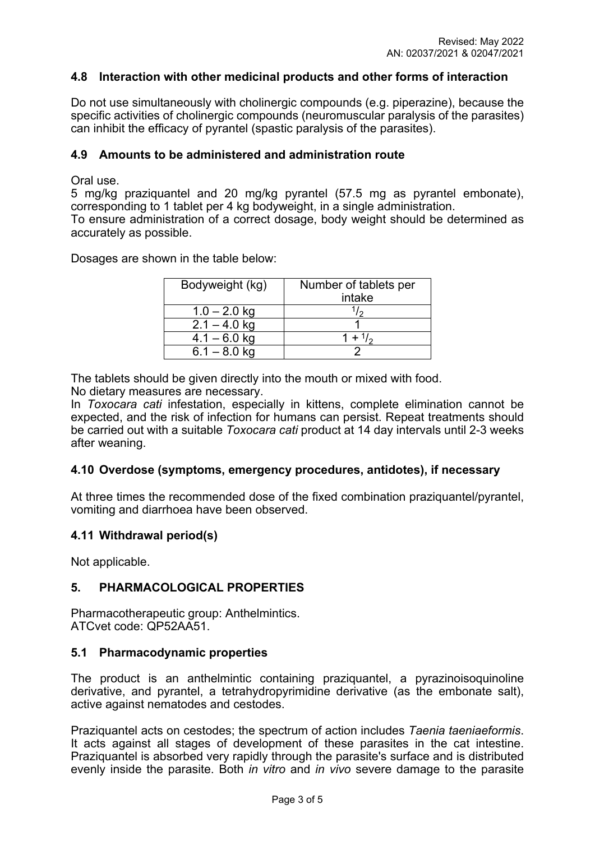## **4.8 Interaction with other medicinal products and other forms of interaction**

Do not use simultaneously with cholinergic compounds (e.g. piperazine), because the specific activities of cholinergic compounds (neuromuscular paralysis of the parasites) can inhibit the efficacy of pyrantel (spastic paralysis of the parasites).

### **4.9 Amounts to be administered and administration route**

Oral use.

5 mg/kg praziquantel and 20 mg/kg pyrantel (57.5 mg as pyrantel embonate), corresponding to 1 tablet per 4 kg bodyweight, in a single administration.

To ensure administration of a correct dosage, body weight should be determined as accurately as possible.

Dosages are shown in the table below:

| Bodyweight (kg) | Number of tablets per<br>intake |
|-----------------|---------------------------------|
| $1.0 - 2.0$ kg  | ر ا                             |
| $2.1 - 4.0$ kg  |                                 |
| $4.1 - 6.0$ kg  | $1 + \frac{1}{2}$               |
| $6.1 - 8.0$ kg  |                                 |

The tablets should be given directly into the mouth or mixed with food.

No dietary measures are necessary.

In *Toxocara cati* infestation, especially in kittens, complete elimination cannot be expected, and the risk of infection for humans can persist. Repeat treatments should be carried out with a suitable *Toxocara cati* product at 14 day intervals until 2-3 weeks after weaning.

### **4.10 Overdose (symptoms, emergency procedures, antidotes), if necessary**

At three times the recommended dose of the fixed combination praziquantel/pyrantel, vomiting and diarrhoea have been observed.

### **4.11 Withdrawal period(s)**

Not applicable.

# **5. PHARMACOLOGICAL PROPERTIES**

Pharmacotherapeutic group: Anthelmintics. ATCvet code: QP52AA51.

### **5.1 Pharmacodynamic properties**

The product is an anthelmintic containing praziquantel, a pyrazinoisoquinoline derivative, and pyrantel, a tetrahydropyrimidine derivative (as the embonate salt), active against nematodes and cestodes.

Praziquantel acts on cestodes; the spectrum of action includes *Taenia taeniaeformis*. It acts against all stages of development of these parasites in the cat intestine. Praziquantel is absorbed very rapidly through the parasite's surface and is distributed evenly inside the parasite. Both *in vitro* and *in vivo* severe damage to the parasite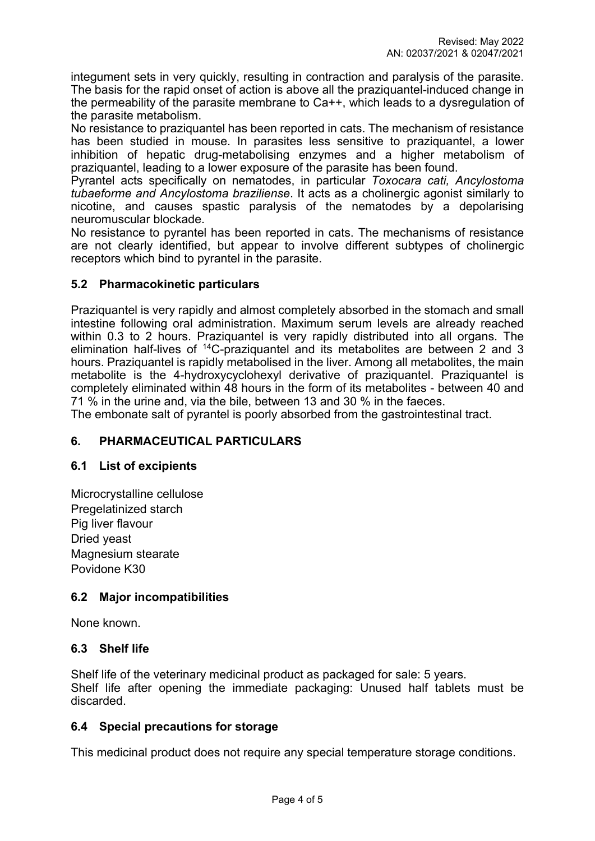integument sets in very quickly, resulting in contraction and paralysis of the parasite. The basis for the rapid onset of action is above all the praziquantel-induced change in the permeability of the parasite membrane to Ca++, which leads to a dysregulation of the parasite metabolism.

No resistance to praziquantel has been reported in cats. The mechanism of resistance has been studied in mouse. In parasites less sensitive to praziquantel, a lower inhibition of hepatic drug-metabolising enzymes and a higher metabolism of praziquantel, leading to a lower exposure of the parasite has been found.

Pyrantel acts specifically on nematodes, in particular *Toxocara cati, Ancylostoma tubaeforme and Ancylostoma braziliense*. It acts as a cholinergic agonist similarly to nicotine, and causes spastic paralysis of the nematodes by a depolarising neuromuscular blockade.

No resistance to pyrantel has been reported in cats. The mechanisms of resistance are not clearly identified, but appear to involve different subtypes of cholinergic receptors which bind to pyrantel in the parasite.

# **5.2 Pharmacokinetic particulars**

Praziquantel is very rapidly and almost completely absorbed in the stomach and small intestine following oral administration. Maximum serum levels are already reached within 0.3 to 2 hours. Praziquantel is very rapidly distributed into all organs. The elimination half-lives of <sup>14</sup>C-praziquantel and its metabolites are between 2 and 3 hours. Praziquantel is rapidly metabolised in the liver. Among all metabolites, the main metabolite is the 4-hydroxycyclohexyl derivative of praziquantel. Praziquantel is completely eliminated within 48 hours in the form of its metabolites - between 40 and 71 % in the urine and, via the bile, between 13 and 30 % in the faeces.

The embonate salt of pyrantel is poorly absorbed from the gastrointestinal tract.

# **6. PHARMACEUTICAL PARTICULARS**

# **6.1 List of excipients**

Microcrystalline cellulose Pregelatinized starch Pig liver flavour Dried yeast Magnesium stearate Povidone K30

# **6.2 Major incompatibilities**

None known.

# **6.3 Shelf life**

Shelf life of the veterinary medicinal product as packaged for sale: 5 years. Shelf life after opening the immediate packaging: Unused half tablets must be discarded.

# **6.4 Special precautions for storage**

This medicinal product does not require any special temperature storage conditions.